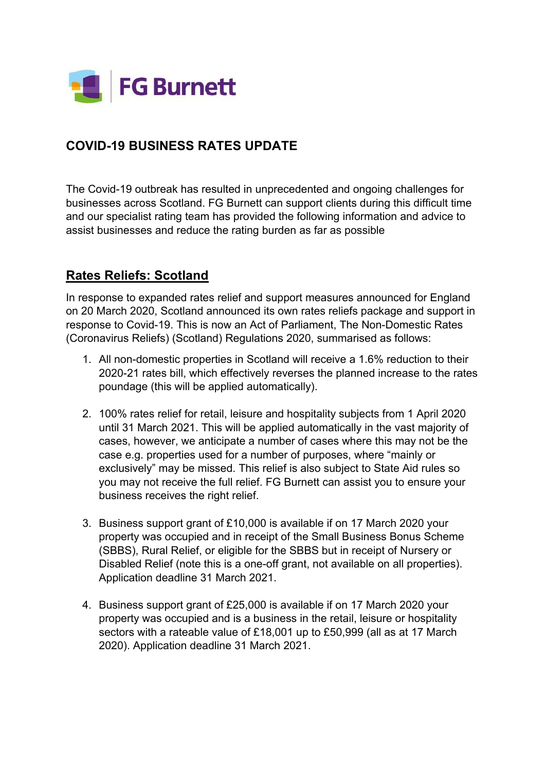

## **COVID-19 BUSINESS RATES UPDATE**

The Covid-19 outbreak has resulted in unprecedented and ongoing challenges for businesses across Scotland. FG Burnett can support clients during this difficult time and our specialist rating team has provided the following information and advice to assist businesses and reduce the rating burden as far as possible

## **Rates Reliefs: Scotland**

In response to expanded rates relief and support measures announced for England on 20 March 2020, Scotland announced its own rates reliefs package and support in response to Covid-19. This is now an Act of Parliament, The Non-Domestic Rates (Coronavirus Reliefs) (Scotland) Regulations 2020, summarised as follows:

- 1. All non-domestic properties in Scotland will receive a 1.6% reduction to their 2020-21 rates bill, which effectively reverses the planned increase to the rates poundage (this will be applied automatically).
- 2. 100% rates relief for retail, leisure and hospitality subjects from 1 April 2020 until 31 March 2021. This will be applied automatically in the vast majority of cases, however, we anticipate a number of cases where this may not be the case e.g. properties used for a number of purposes, where "mainly or exclusively" may be missed. This relief is also subject to State Aid rules so you may not receive the full relief. FG Burnett can assist you to ensure your business receives the right relief.
- 3. Business support grant of £10,000 is available if on 17 March 2020 your property was occupied and in receipt of the Small Business Bonus Scheme (SBBS), Rural Relief, or eligible for the SBBS but in receipt of Nursery or Disabled Relief (note this is a one-off grant, not available on all properties). Application deadline 31 March 2021.
- 4. Business support grant of £25,000 is available if on 17 March 2020 your property was occupied and is a business in the retail, leisure or hospitality sectors with a rateable value of £18,001 up to £50,999 (all as at 17 March 2020). Application deadline 31 March 2021.